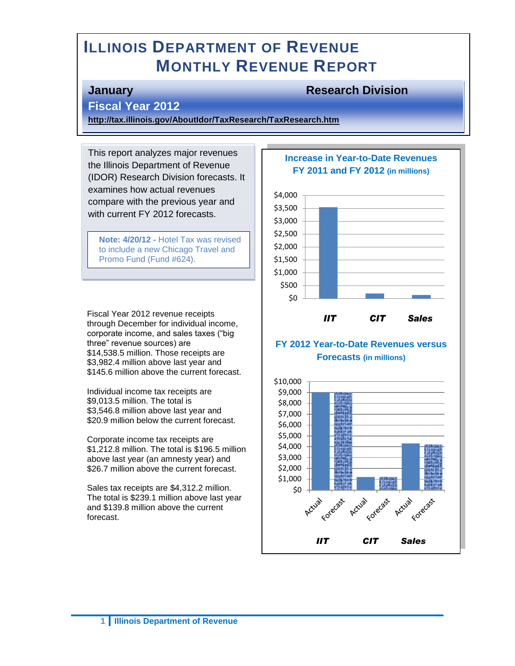# **ILLINOIS DEPARTMENT OF REVENUE MONTHLY REVENUE REPORT**

#### **January Research Division**

## **Fiscal Year 2012**

(04/20/2012)

**<http://tax.illinois.gov/AboutIdor/TaxResearch/TaxResearch.htm>**

This report analyzes major revenues the Illinois Department of Revenue (IDOR) Research Division forecasts. It examines how actual revenues compare with the previous year and with current FY 2012 forecasts.

**Note: 4/20/12 -** Hotel Tax was revised to include a new Chicago Travel and Promo Fund (Fund #624).

Fiscal Year 2012 revenue receipts through December for individual income, corporate income, and sales taxes ("big three" revenue sources) are \$14,538.5 million. Those receipts are \$3,982.4 million above last year and \$145.6 million above the current forecast.

Individual income tax receipts are \$9,013.5 million. The total is \$3,546.8 million above last year and \$20.9 million below the current forecast.

Corporate income tax receipts are \$1,212.8 million. The total is \$196.5 million above last year (an amnesty year) and \$26.7 million above the current forecast.

Sales tax receipts are \$4,312.2 million. The total is \$239.1 million above last year and \$139.8 million above the current forecast.

#### **Increase in Year-to-Date Revenues FY 2011 and FY 2012 (in millions)**



#### **FY 2012 Year-to-Date Revenues versus Forecasts (in millions)**

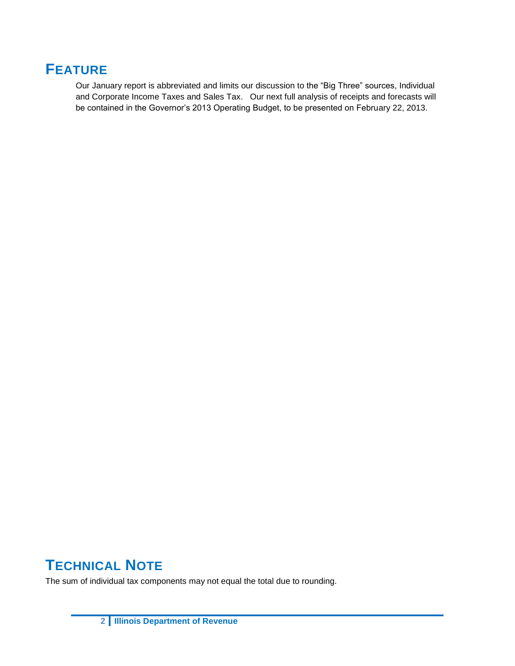# **FEATURE**

Our January report is abbreviated and limits our discussion to the "Big Three" sources, Individual and Corporate Income Taxes and Sales Tax. Our next full analysis of receipts and forecasts will be contained in the Governor's 2013 Operating Budget, to be presented on February 22, 2013.

# **TECHNICAL NOTE**

The sum of individual tax components may not equal the total due to rounding.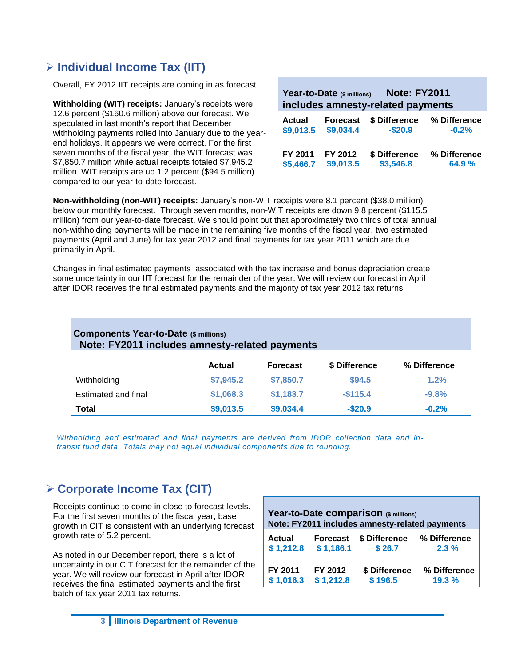## **Individual Income Tax (IIT)**

Overall, FY 2012 IIT receipts are coming in as forecast.

**Withholding (WIT) receipts:** January's receipts were 12.6 percent (\$160.6 million) above our forecast. We speculated in last month's report that December withholding payments rolled into January due to the yearend holidays. It appears we were correct. For the first seven months of the fiscal year, the WIT forecast was \$7,850.7 million while actual receipts totaled \$7,945.2 million. WIT receipts are up 1.2 percent (\$94.5 million) compared to our year-to-date forecast.

| <b>Note: FY2011</b><br>Year-to-Date (\$ millions)<br>includes amnesty-related payments |                 |               |              |  |  |  |  |
|----------------------------------------------------------------------------------------|-----------------|---------------|--------------|--|--|--|--|
| <b>Actual</b>                                                                          | <b>Forecast</b> | \$ Difference | % Difference |  |  |  |  |
| \$9,013.5                                                                              | \$9,034.4       | $-$20.9$      | $-0.2%$      |  |  |  |  |
| FY 2011                                                                                | FY 2012         | \$ Difference | % Difference |  |  |  |  |
| \$5,466.7                                                                              | \$9,013.5       | \$3,546.8     | 64.9%        |  |  |  |  |

**Non-withholding (non-WIT) receipts:** January's non-WIT receipts were 8.1 percent (\$38.0 million) below our monthly forecast. Through seven months, non-WIT receipts are down 9.8 percent (\$115.5 million) from our year-to-date forecast. We should point out that approximately two thirds of total annual non-withholding payments will be made in the remaining five months of the fiscal year, two estimated payments (April and June) for tax year 2012 and final payments for tax year 2011 which are due primarily in April.

Changes in final estimated payments associated with the tax increase and bonus depreciation create some uncertainty in our IIT forecast for the remainder of the year. We will review our forecast in April after IDOR receives the final estimated payments and the majority of tax year 2012 tax returns

| <b>Components Year-to-Date (\$ millions)</b><br>Note: FY2011 includes amnesty-related payments |               |                 |               |              |  |  |  |  |  |
|------------------------------------------------------------------------------------------------|---------------|-----------------|---------------|--------------|--|--|--|--|--|
|                                                                                                | <b>Actual</b> | <b>Forecast</b> | \$ Difference | % Difference |  |  |  |  |  |
| Withholding                                                                                    | \$7,945.2     | \$7,850.7       | \$94.5        | 1.2%         |  |  |  |  |  |
| Estimated and final                                                                            | \$1,068.3     | \$1,183.7       | $-$115.4$     | $-9.8%$      |  |  |  |  |  |
| Total                                                                                          | \$9,013.5     | \$9,034.4       | $-$20.9$      | $-0.2%$      |  |  |  |  |  |

*Withholding and estimated and final payments are derived from IDOR collection data and intransit fund data. Totals may not equal individual components due to rounding.* 

## **Corporate Income Tax (CIT)**

Receipts continue to come in close to forecast levels. For the first seven months of the fiscal year, base growth in CIT is consistent with an underlying forecast growth rate of 5.2 percent.

As noted in our December report, there is a lot of uncertainty in our CIT forecast for the remainder of the year. We will review our forecast in April after IDOR receives the final estimated payments and the first batch of tax year 2011 tax returns.

| Year-to-Date comparison (\$ millions)<br>Note: FY2011 includes amnesty-related payments |                 |               |              |  |  |  |  |  |
|-----------------------------------------------------------------------------------------|-----------------|---------------|--------------|--|--|--|--|--|
| <b>Actual</b>                                                                           | <b>Forecast</b> | \$ Difference | % Difference |  |  |  |  |  |
| \$1,212.8                                                                               | \$1,186.1       | \$26.7        | 2.3%         |  |  |  |  |  |
| FY 2011                                                                                 | FY 2012         | \$ Difference | % Difference |  |  |  |  |  |
| \$1,016.3                                                                               | \$1,212.8       | \$196.5       | 19.3%        |  |  |  |  |  |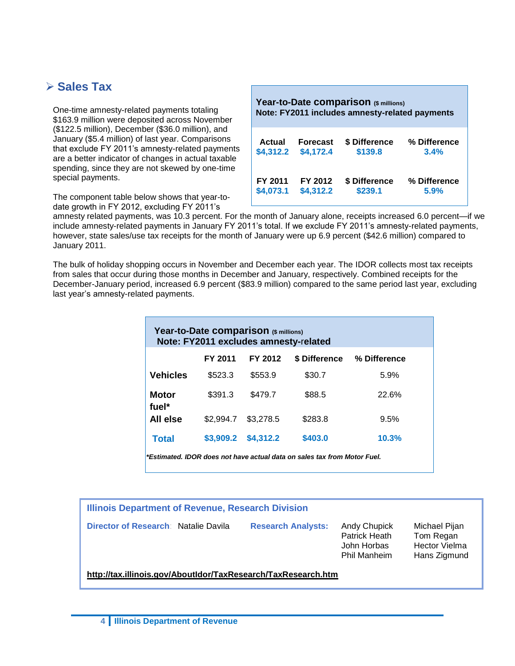### **Sales Tax**

One-time amnesty-related payments totaling \$163.9 million were deposited across November (\$122.5 million), December (\$36.0 million), and January (\$5.4 million) of last year. Comparisons that exclude FY 2011's amnesty-related payments are a better indicator of changes in actual taxable spending, since they are not skewed by one-time special payments.

The component table below shows that year-todate growth in FY 2012, excluding FY 2011's

| Year-to-Date comparison (\$ millions)<br>Note: FY2011 includes amnesty-related payments |                 |               |              |  |  |  |  |  |
|-----------------------------------------------------------------------------------------|-----------------|---------------|--------------|--|--|--|--|--|
| Actual                                                                                  | <b>Forecast</b> | \$ Difference | % Difference |  |  |  |  |  |
| \$4,312.2                                                                               | \$4,172.4       | \$139.8       | 3.4%         |  |  |  |  |  |
| FY 2011                                                                                 | FY 2012         | \$ Difference | % Difference |  |  |  |  |  |
| \$4,073.1                                                                               | \$4,312.2       | \$239.1       | 5.9%         |  |  |  |  |  |

amnesty related payments, was 10.3 percent. For the month of January alone, receipts increased 6.0 percent—if we include amnesty-related payments in January FY 2011's total. If we exclude FY 2011's amnesty-related payments, however, state sales/use tax receipts for the month of January were up 6.9 percent (\$42.6 million) compared to January 2011.

The bulk of holiday shopping occurs in November and December each year. The IDOR collects most tax receipts from sales that occur during those months in December and January, respectively. Combined receipts for the December-January period, increased 6.9 percent (\$83.9 million) compared to the same period last year, excluding last year's amnesty-related payments.

| Year-to-Date comparison (\$ millions)<br>Note: FY2011 excludes amnesty-related |           |           |               |              |  |  |  |  |  |
|--------------------------------------------------------------------------------|-----------|-----------|---------------|--------------|--|--|--|--|--|
|                                                                                | FY 2011   | FY 2012   | \$ Difference | % Difference |  |  |  |  |  |
| <b>Vehicles</b>                                                                | \$523.3   | \$553.9   | \$30.7        | 5.9%         |  |  |  |  |  |
| <b>Motor</b><br>fuel*                                                          | \$391.3   | \$479.7   | \$88.5        | 22.6%        |  |  |  |  |  |
| All else                                                                       | \$2,994.7 | \$3,278.5 | \$283.8       | 9.5%         |  |  |  |  |  |
| <b>Total</b>                                                                   | \$3,909.2 | \$4,312.2 | \$403.0       | 10.3%        |  |  |  |  |  |
| *Estimated. IDOR does not have actual data on sales tax from Motor Fuel.       |           |           |               |              |  |  |  |  |  |

**Illinois Department of Revenue, Research Division Director of Research**: Natalie Davila **Research Analysts:** Andy Chupick Michael Pijan

Patrick Heath Tom Regan John Horbas Hector Vielma Phil Manheim Hans Zigmund

**<http://tax.illinois.gov/AboutIdor/TaxResearch/TaxResearch.htm>**